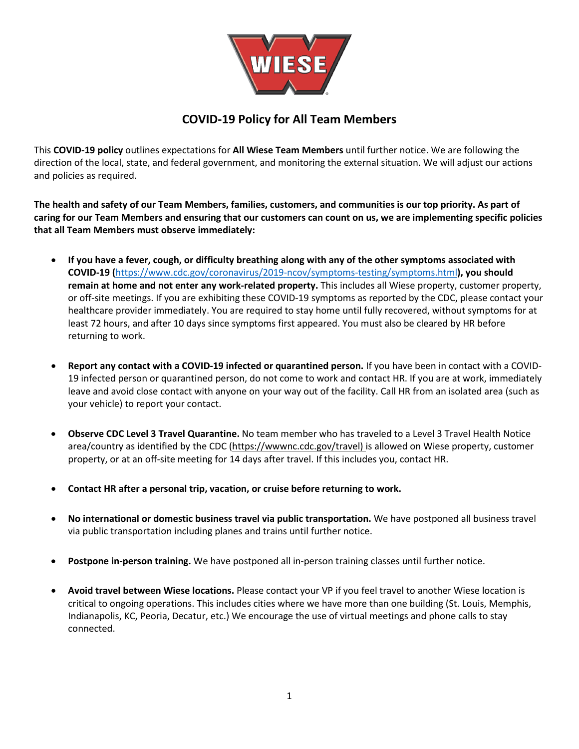

# **COVID-19 Policy for All Team Members**

This **COVID-19 policy** outlines expectations for **All Wiese Team Members** until further notice. We are following the direction of the local, state, and federal government, and monitoring the external situation. We will adjust our actions and policies as required.

**The health and safety of our Team Members, families, customers, and communities is our top priority. As part of caring for our Team Members and ensuring that our customers can count on us, we are implementing specific policies that all Team Members must observe immediately:**

- **If you have a fever, cough, or difficulty breathing along with any of the other symptoms associated with COVID-19 (**<https://www.cdc.gov/coronavirus/2019-ncov/symptoms-testing/symptoms.html>**), you should remain at home and not enter any work-related property.** This includes all Wiese property, customer property, or off-site meetings. If you are exhibiting these COVID-19 symptoms as reported by the CDC, please contact your healthcare provider immediately. You are required to stay home until fully recovered, without symptoms for at least 72 hours, and after 10 days since symptoms first appeared. You must also be cleared by HR before returning to work.
- **Report any contact with a COVID-19 infected or quarantined person.** If you have been in contact with a COVID-19 infected person or quarantined person, do not come to work and contact HR. If you are at work, immediately leave and avoid close contact with anyone on your way out of the facility. Call HR from an isolated area (such as your vehicle) to report your contact.
- **Observe CDC Level 3 Travel Quarantine.** No team member who has traveled to a Level 3 Travel Health Notice area/country as identified by the CDC [\(https://wwwnc.cdc.gov/travel\)](https://wwwnc.cdc.gov/travel) is allowed on Wiese property, customer property, or at an off-site meeting for 14 days after travel. If this includes you, contact HR.
- **Contact HR after a personal trip, vacation, or cruise before returning to work.**
- **No international or domestic business travel via public transportation.** We have postponed all business travel via public transportation including planes and trains until further notice.
- **Postpone in-person training.** We have postponed all in-person training classes until further notice.
- **Avoid travel between Wiese locations.** Please contact your VP if you feel travel to another Wiese location is critical to ongoing operations. This includes cities where we have more than one building (St. Louis, Memphis, Indianapolis, KC, Peoria, Decatur, etc.) We encourage the use of virtual meetings and phone calls to stay connected.